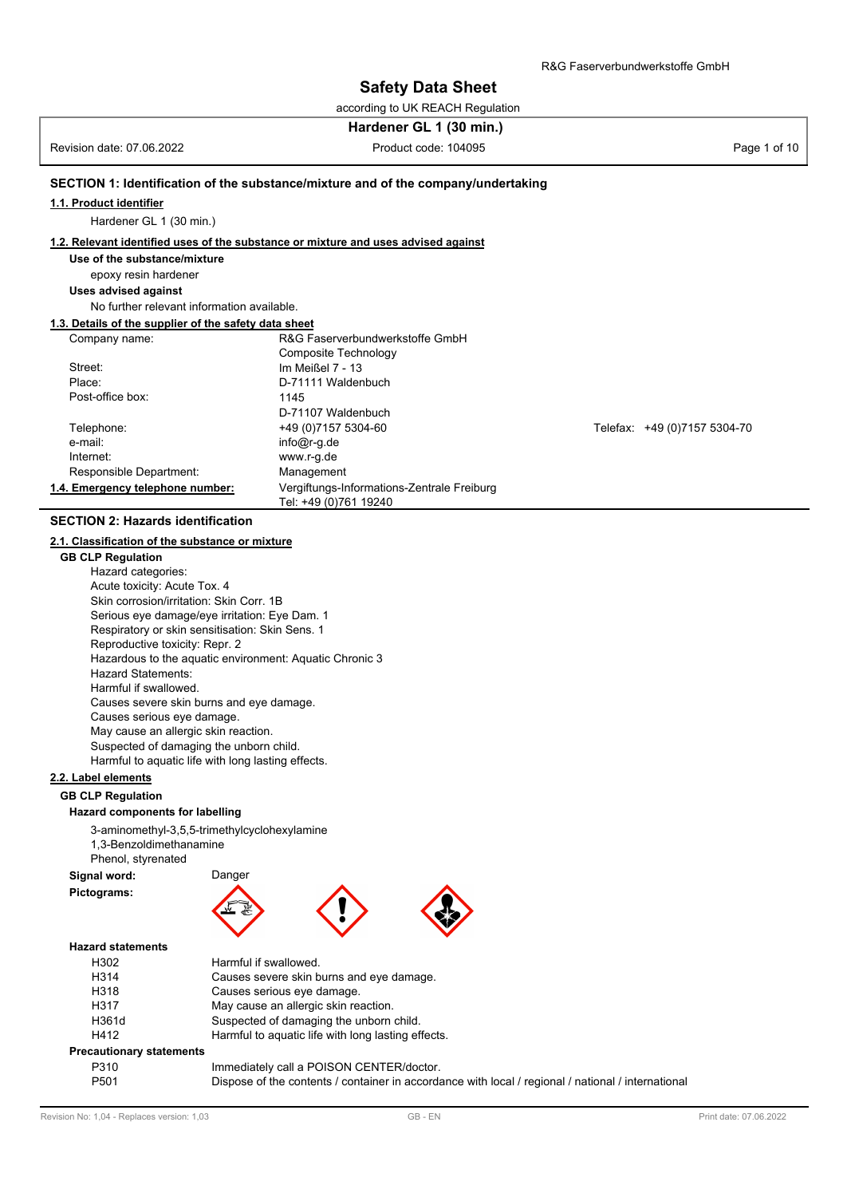according to UK REACH Regulation

# **Hardener GL 1 (30 min.)**

Revision date: 07.06.2022 **Product code: 104095** Product code: 104095 Page 1 of 10

region reposition distont complete

## **SECTION 1: Identification of the substance/mixture and of the company/undertaking**

#### **1.1. Product identifier**

Hardener GL 1 (30 min.)

## **1.2. Relevant identified uses of the substance or mixture and uses advised against**

## **Use of the substance/mixture**

epoxy resin hardener

#### **Uses advised against**

No further relevant information available.

## **1.3. Details of the supplier of the safety data sheet**

| Company name:                    | R&G Faserverbundwerkstoffe GmbH            |                              |  |
|----------------------------------|--------------------------------------------|------------------------------|--|
|                                  | Composite Technology                       |                              |  |
| Street:                          | Im Meißel $7 - 13$                         |                              |  |
| Place:                           | D-71111 Waldenbuch                         |                              |  |
| Post-office box:                 | 1145                                       |                              |  |
|                                  | D-71107 Waldenbuch                         |                              |  |
| Telephone:                       | +49 (0) 7157 5304-60                       | Telefax: +49 (0)7157 5304-70 |  |
| e-mail:                          | $info@r-q.de$                              |                              |  |
| Internet:                        | www.r-g.de                                 |                              |  |
| Responsible Department:          | Management                                 |                              |  |
| 1.4. Emergency telephone number: | Vergiftungs-Informations-Zentrale Freiburg |                              |  |
|                                  | Tel: +49 (0)761 19240                      |                              |  |

### **SECTION 2: Hazards identification**

### **2.1. Classification of the substance or mixture**

**GB CLP Regulation** Hazard categories: Acute toxicity: Acute Tox. 4 Skin corrosion/irritation: Skin Corr. 1B Serious eye damage/eye irritation: Eye Dam. 1 Respiratory or skin sensitisation: Skin Sens. 1 Reproductive toxicity: Repr. 2 Hazardous to the aquatic environment: Aquatic Chronic 3 Hazard Statements: Harmful if swallowed. Causes severe skin burns and eye damage. Causes serious eye damage. May cause an allergic skin reaction. Suspected of damaging the unborn child. Harmful to aquatic life with long lasting effects.

## **2.2. Label elements**

# **GB CLP Regulation**

## **Hazard components for labelling**

3-aminomethyl-3,5,5-trimethylcyclohexylamine 1,3-Benzoldimethanamine Phenol, styrenated

| Signal word: | Danger         |
|--------------|----------------|
| Pictograms:  | $F = \sqrt{d}$ |





### **Hazard statements**

| H <sub>302</sub>                | Harmful if swallowed.                                                                                                                                                                                           |
|---------------------------------|-----------------------------------------------------------------------------------------------------------------------------------------------------------------------------------------------------------------|
| H314                            | Causes severe skin burns and eye damage.                                                                                                                                                                        |
| H318                            | Causes serious eye damage.                                                                                                                                                                                      |
| H317                            | May cause an allergic skin reaction.                                                                                                                                                                            |
| H361d                           | Suspected of damaging the unborn child.                                                                                                                                                                         |
| H412                            | Harmful to aquatic life with long lasting effects.                                                                                                                                                              |
| <b>Precautionary statements</b> |                                                                                                                                                                                                                 |
| <b>DOJO</b>                     | $\mathbf{L}_{\text{total}}$ . $\mathbf{L}_{\text{total}}$ , $\mathbf{L}_{\text{total}}$ , $\mathbf{L}_{\text{total}}$ , $\mathbf{L}_{\text{total}}$ , $\mathbf{L}_{\text{total}}$ , $\mathbf{L}_{\text{total}}$ |

| P310             | Immediately call a POISON CENTER/doctor.                                                           |
|------------------|----------------------------------------------------------------------------------------------------|
| P <sub>501</sub> | Dispose of the contents / container in accordance with local / regional / national / international |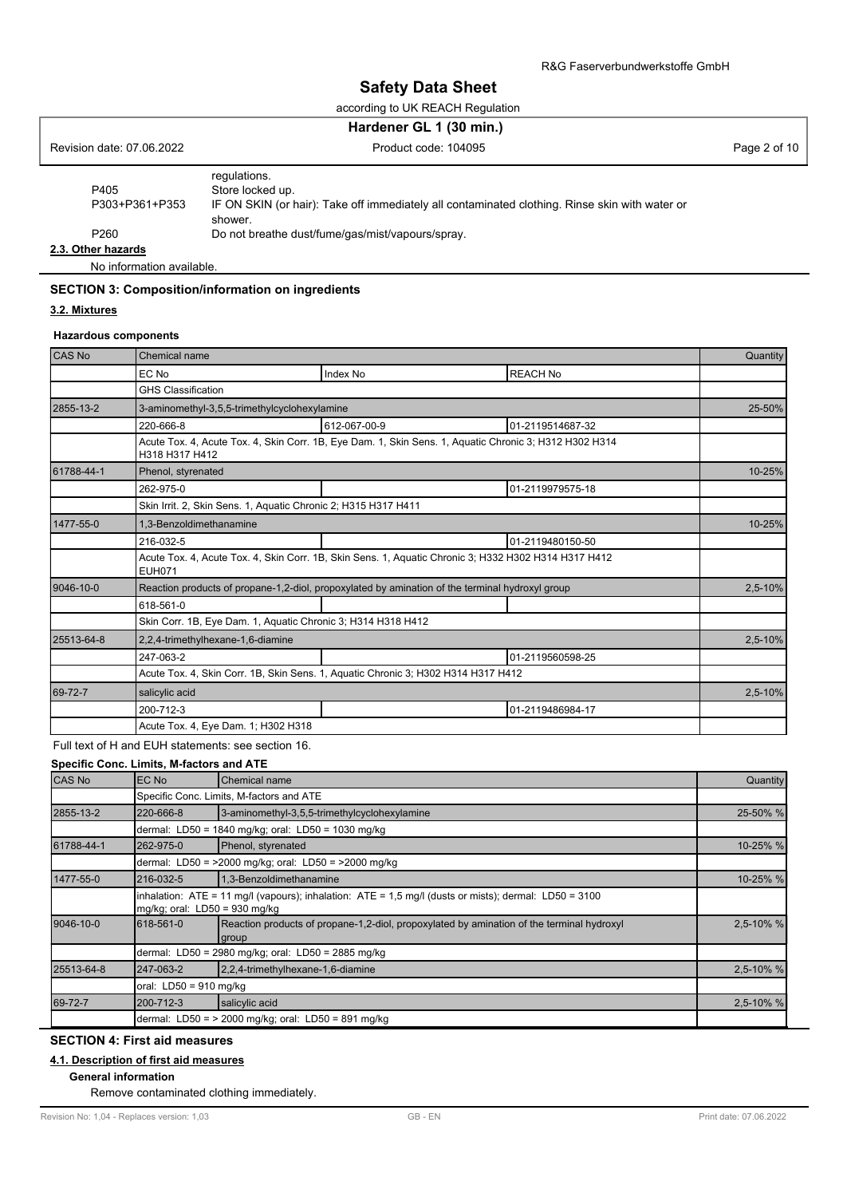according to UK REACH Regulation

|                           | Hardener GL 1 (30 min.)                                                                                                                       |              |
|---------------------------|-----------------------------------------------------------------------------------------------------------------------------------------------|--------------|
| Revision date: 07.06.2022 | Product code: 104095                                                                                                                          | Page 2 of 10 |
| P405<br>P303+P361+P353    | regulations.<br>Store locked up.<br>IF ON SKIN (or hair): Take off immediately all contaminated clothing. Rinse skin with water or<br>shower. |              |
| P <sub>260</sub>          | Do not breathe dust/fume/gas/mist/vapours/spray.                                                                                              |              |
| 2.3. Other hazards        |                                                                                                                                               |              |

No information available.

## **SECTION 3: Composition/information on ingredients**

## **3.2. Mixtures**

### **Hazardous components**

| CAS No     | Chemical name                                                                                                         |                                                                                                        |                  | Quantity |
|------------|-----------------------------------------------------------------------------------------------------------------------|--------------------------------------------------------------------------------------------------------|------------------|----------|
|            | EC No                                                                                                                 | Index No                                                                                               | <b>REACH No</b>  |          |
|            | <b>GHS Classification</b>                                                                                             |                                                                                                        |                  |          |
| 2855-13-2  | 3-aminomethyl-3,5,5-trimethylcyclohexylamine                                                                          |                                                                                                        |                  | 25-50%   |
|            | 220-666-8                                                                                                             | 612-067-00-9                                                                                           | 01-2119514687-32 |          |
|            | H318 H317 H412                                                                                                        | Acute Tox. 4, Acute Tox. 4, Skin Corr. 1B, Eye Dam. 1, Skin Sens. 1, Aquatic Chronic 3; H312 H302 H314 |                  |          |
| 61788-44-1 | Phenol, styrenated                                                                                                    |                                                                                                        |                  | 10-25%   |
|            | 262-975-0                                                                                                             |                                                                                                        | 01-2119979575-18 |          |
|            | Skin Irrit. 2, Skin Sens. 1, Aquatic Chronic 2; H315 H317 H411                                                        |                                                                                                        |                  |          |
| 1477-55-0  | 1,3-Benzoldimethanamine                                                                                               |                                                                                                        |                  | 10-25%   |
|            | 216-032-5                                                                                                             |                                                                                                        | 01-2119480150-50 |          |
|            | Acute Tox. 4, Acute Tox. 4, Skin Corr. 1B, Skin Sens. 1, Aquatic Chronic 3; H332 H302 H314 H317 H412<br><b>EUH071</b> |                                                                                                        |                  |          |
| 9046-10-0  | Reaction products of propane-1,2-diol, propoxylated by amination of the terminal hydroxyl group                       |                                                                                                        |                  | 2,5-10%  |
|            | 618-561-0                                                                                                             |                                                                                                        |                  |          |
|            | Skin Corr. 1B, Eye Dam. 1, Aquatic Chronic 3; H314 H318 H412                                                          |                                                                                                        |                  |          |
| 25513-64-8 | 2,2,4-trimethylhexane-1,6-diamine                                                                                     |                                                                                                        |                  | 2,5-10%  |
|            | 247-063-2                                                                                                             |                                                                                                        | 01-2119560598-25 |          |
|            | Acute Tox. 4, Skin Corr. 1B, Skin Sens. 1, Aquatic Chronic 3; H302 H314 H317 H412                                     |                                                                                                        |                  |          |
| 69-72-7    | salicylic acid                                                                                                        |                                                                                                        |                  | 2,5-10%  |
|            | 200-712-3                                                                                                             |                                                                                                        | 01-2119486984-17 |          |
|            | Acute Tox. 4, Eye Dam. 1; H302 H318                                                                                   |                                                                                                        |                  |          |

## Full text of H and EUH statements: see section 16.

**Specific Conc. Limits, M-factors and ATE**

| CAS No     | EC No                         | Chemical name                                                                                                   | Quantity  |
|------------|-------------------------------|-----------------------------------------------------------------------------------------------------------------|-----------|
|            |                               | Specific Conc. Limits, M-factors and ATE                                                                        |           |
| 2855-13-2  | 220-666-8                     | 3-aminomethyl-3,5,5-trimethylcyclohexylamine                                                                    | 25-50% %  |
|            |                               | dermal: LD50 = 1840 mg/kg; oral: LD50 = 1030 mg/kg                                                              |           |
| 61788-44-1 | 262-975-0                     | Phenol, styrenated                                                                                              | 10-25% %  |
|            |                               | dermal: LD50 = >2000 mg/kg; oral: LD50 = >2000 mg/kg                                                            |           |
| 1477-55-0  | 216-032-5                     | 1,3-Benzoldimethanamine                                                                                         | 10-25% %  |
|            | mg/kg; oral: LD50 = 930 mg/kg | $\lambda$ inhalation: ATE = 11 mg/l (vapours); inhalation: ATE = 1,5 mg/l (dusts or mists); dermal: LD50 = 3100 |           |
| 9046-10-0  | 618-561-0                     | Reaction products of propane-1,2-diol, propoxylated by amination of the terminal hydroxyl<br>group              | 2,5-10% % |
|            |                               | dermal: LD50 = 2980 mg/kg; oral: LD50 = 2885 mg/kg                                                              |           |
| 25513-64-8 | 247-063-2                     | 2,2,4-trimethylhexane-1,6-diamine                                                                               | 2.5-10% % |
|            | oral: $LD50 = 910$ mg/kg      |                                                                                                                 |           |
| 69-72-7    | 200-712-3                     | salicylic acid                                                                                                  | 2,5-10% % |
|            |                               | dermal: LD50 = $> 2000$ mg/kg; oral: LD50 = 891 mg/kg                                                           |           |

## **SECTION 4: First aid measures**

## **4.1. Description of first aid measures**

**General information**

Remove contaminated clothing immediately.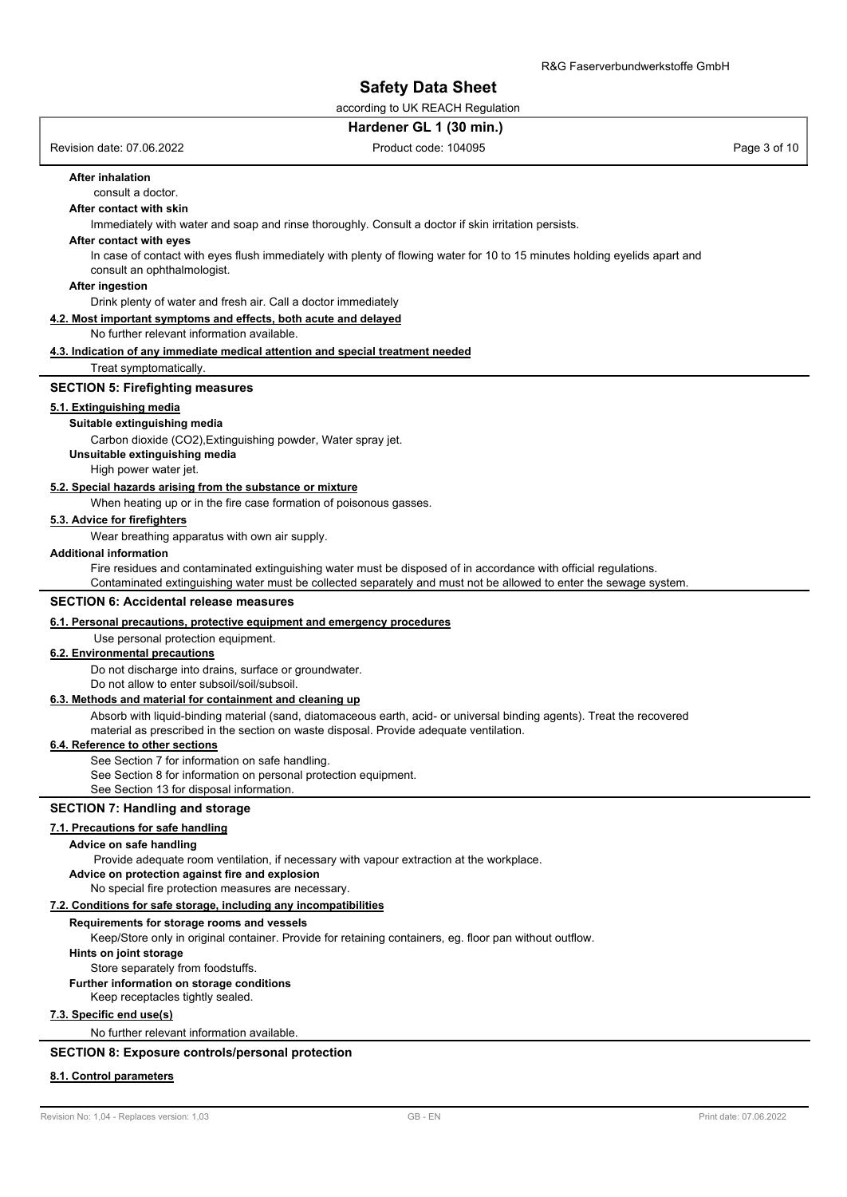according to UK REACH Regulation

### **Hardener GL 1 (30 min.)**

Revision date: 07.06.2022 **Product code: 104095** Product code: 104095 Page 3 of 10

## **After inhalation**

consult a doctor.

## **After contact with skin**

Immediately with water and soap and rinse thoroughly. Consult a doctor if skin irritation persists.

### **After contact with eyes**

In case of contact with eyes flush immediately with plenty of flowing water for 10 to 15 minutes holding eyelids apart and consult an ophthalmologist.

#### **After ingestion**

Drink plenty of water and fresh air. Call a doctor immediately

## **4.2. Most important symptoms and effects, both acute and delayed**

### No further relevant information available.

### **4.3. Indication of any immediate medical attention and special treatment needed**

Treat symptomatically.

#### **SECTION 5: Firefighting measures**

## **5.1. Extinguishing media**

## **Suitable extinguishing media**

Carbon dioxide (CO2),Extinguishing powder, Water spray jet.

**Unsuitable extinguishing media**

High power water jet.

## **5.2. Special hazards arising from the substance or mixture**

When heating up or in the fire case formation of poisonous gasses.

### **5.3. Advice for firefighters**

Wear breathing apparatus with own air supply.

#### **Additional information**

Fire residues and contaminated extinguishing water must be disposed of in accordance with official regulations.

Contaminated extinguishing water must be collected separately and must not be allowed to enter the sewage system.

#### **SECTION 6: Accidental release measures**

### **6.1. Personal precautions, protective equipment and emergency procedures**

## Use personal protection equipment.

### **6.2. Environmental precautions**

Do not discharge into drains, surface or groundwater.

Do not allow to enter subsoil/soil/subsoil.

## **6.3. Methods and material for containment and cleaning up**

Absorb with liquid-binding material (sand, diatomaceous earth, acid- or universal binding agents). Treat the recovered material as prescribed in the section on waste disposal. Provide adequate ventilation.

#### **6.4. Reference to other sections**

See Section 7 for information on safe handling.

See Section 8 for information on personal protection equipment.

See Section 13 for disposal information.

### **SECTION 7: Handling and storage**

### **7.1. Precautions for safe handling**

#### **Advice on safe handling**

Provide adequate room ventilation, if necessary with vapour extraction at the workplace.

**Advice on protection against fire and explosion**

No special fire protection measures are necessary.

#### **7.2. Conditions for safe storage, including any incompatibilities**

#### **Requirements for storage rooms and vessels**

Keep/Store only in original container. Provide for retaining containers, eg. floor pan without outflow.

**Hints on joint storage**

Store separately from foodstuffs.

## **Further information on storage conditions**

Keep receptacles tightly sealed.

## **7.3. Specific end use(s)**

No further relevant information available.

## **SECTION 8: Exposure controls/personal protection**

#### **8.1. Control parameters**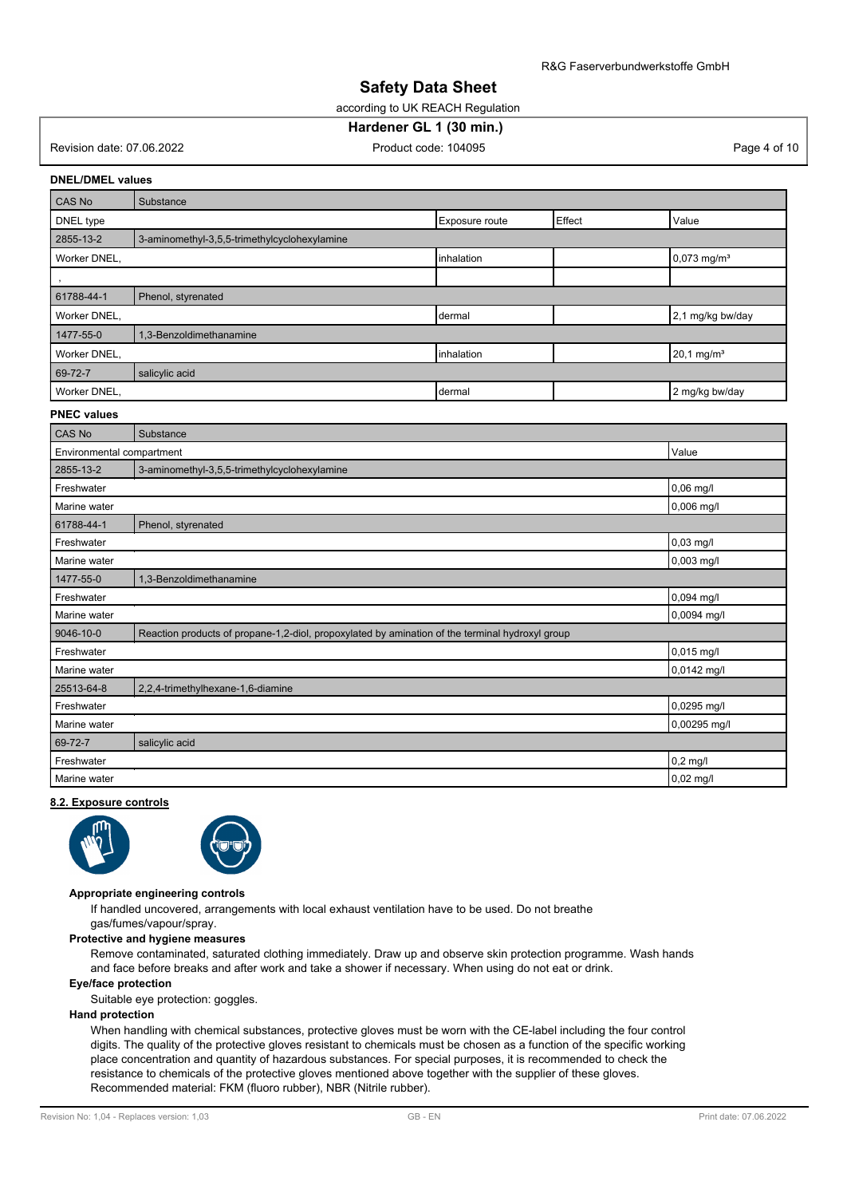according to UK REACH Regulation

## **Hardener GL 1 (30 min.)**

Revision date: 07.06.2022 **Product code: 104095** Product code: 104095 Page 4 of 10

### **DNEL/DMEL values**

| <b>CAS No</b> | Substance                                    |             |  |                           |  |
|---------------|----------------------------------------------|-------------|--|---------------------------|--|
| DNEL type     | Value<br>Exposure route<br>Effect            |             |  |                           |  |
| 2855-13-2     | 3-aminomethyl-3,5,5-trimethylcyclohexylamine |             |  |                           |  |
| Worker DNEL,  |                                              | linhalation |  | $0,073$ mg/m <sup>3</sup> |  |
|               |                                              |             |  |                           |  |
| 61788-44-1    | Phenol, styrenated                           |             |  |                           |  |
| Worker DNEL,  |                                              | dermal      |  | 2,1 mg/kg bw/day          |  |
| 1477-55-0     | 1,3-Benzoldimethanamine                      |             |  |                           |  |
| Worker DNEL,  |                                              | inhalation  |  | 20,1 mg/m <sup>3</sup>    |  |
| 69-72-7       | salicylic acid                               |             |  |                           |  |
| Worker DNEL,  |                                              | dermal      |  | 2 mg/kg bw/day            |  |

#### **PNEC values**

| <b>CAS No</b>             | Substance                                                                                       |              |
|---------------------------|-------------------------------------------------------------------------------------------------|--------------|
| Environmental compartment |                                                                                                 | Value        |
| 2855-13-2                 | 3-aminomethyl-3,5,5-trimethylcyclohexylamine                                                    |              |
| Freshwater                |                                                                                                 | 0,06 mg/l    |
| Marine water              |                                                                                                 | 0,006 mg/l   |
| 61788-44-1                | Phenol, styrenated                                                                              |              |
| Freshwater                |                                                                                                 | $0,03$ mg/l  |
| Marine water              |                                                                                                 | 0,003 mg/l   |
| 1477-55-0                 | 1,3-Benzoldimethanamine                                                                         |              |
| Freshwater                |                                                                                                 | 0,094 mg/l   |
| Marine water              |                                                                                                 | 0,0094 mg/l  |
| 9046-10-0                 | Reaction products of propane-1,2-diol, propoxylated by amination of the terminal hydroxyl group |              |
| Freshwater                |                                                                                                 | 0,015 mg/l   |
| Marine water              |                                                                                                 | 0,0142 mg/l  |
| 25513-64-8                | 2,2,4-trimethylhexane-1,6-diamine                                                               |              |
| Freshwater                |                                                                                                 | 0,0295 mg/l  |
| Marine water              |                                                                                                 | 0,00295 mg/l |
| 69-72-7                   | salicylic acid                                                                                  |              |
| Freshwater                |                                                                                                 | $0,2$ mg/l   |
| Marine water              |                                                                                                 | 0,02 mg/l    |

#### **8.2. Exposure controls**





#### **Appropriate engineering controls**

If handled uncovered, arrangements with local exhaust ventilation have to be used. Do not breathe gas/fumes/vapour/spray.

#### **Protective and hygiene measures**

Remove contaminated, saturated clothing immediately. Draw up and observe skin protection programme. Wash hands and face before breaks and after work and take a shower if necessary. When using do not eat or drink.

### **Eye/face protection**

Suitable eye protection: goggles.

### **Hand protection**

When handling with chemical substances, protective gloves must be worn with the CE-label including the four control digits. The quality of the protective gloves resistant to chemicals must be chosen as a function of the specific working place concentration and quantity of hazardous substances. For special purposes, it is recommended to check the resistance to chemicals of the protective gloves mentioned above together with the supplier of these gloves. Recommended material: FKM (fluoro rubber), NBR (Nitrile rubber).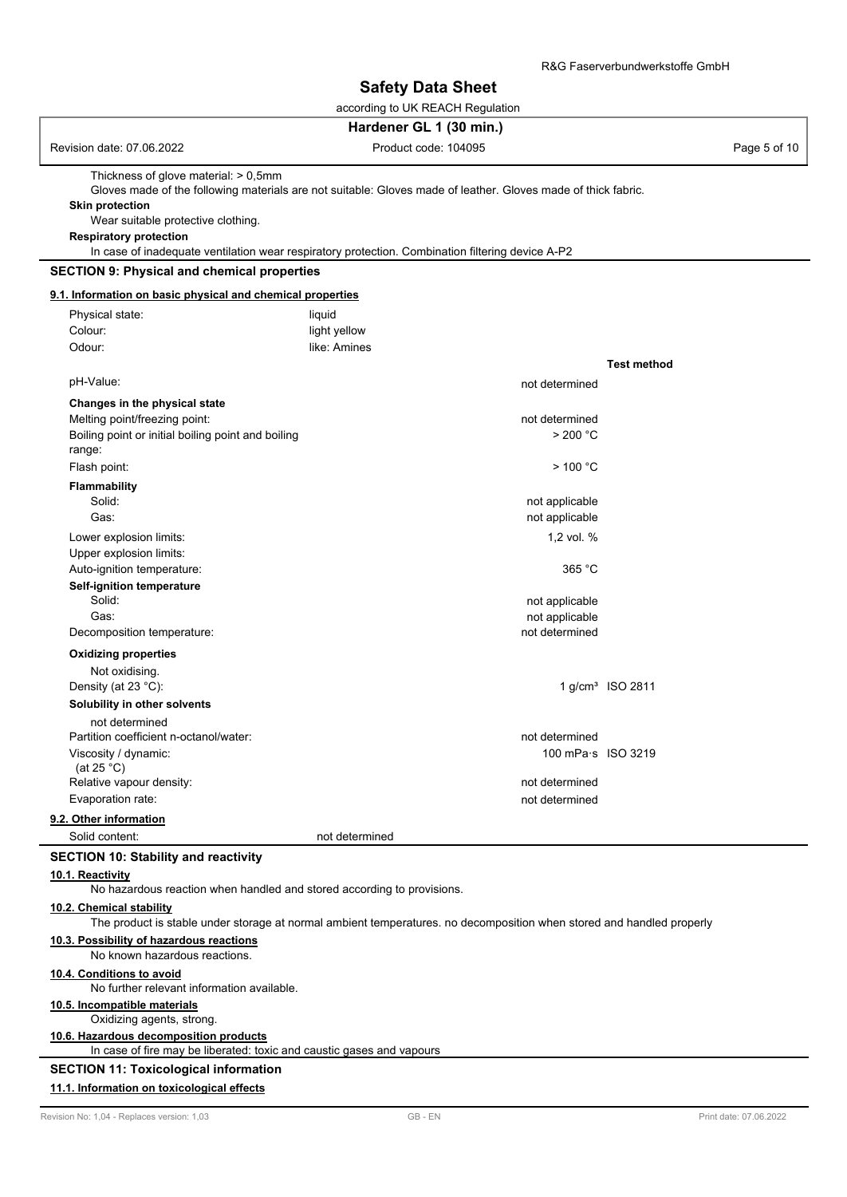according to UK REACH Regulation

## **Hardener GL 1 (30 min.)**

| Revision date: 07.06.2022               | Product code: 104095                                                                                          | Page 5 of 10 |
|-----------------------------------------|---------------------------------------------------------------------------------------------------------------|--------------|
| Thickness of glove material: $> 0.5$ mm |                                                                                                               |              |
|                                         | Gloves made of the following materials are not suitable: Gloves made of leather. Gloves made of thick fabric. |              |
| <b>Skin protection</b>                  |                                                                                                               |              |
| Wear suitable protective clothing.      |                                                                                                               |              |
| <b>Respiratory protection</b>           |                                                                                                               |              |
|                                         | In case of inadequate ventilation wear respiratory protection. Combination filtering device A-P2              |              |

#### **9.1. Information on basic physical and chemical properties**

| Physical state:                                    | liquid         |                    |                              |
|----------------------------------------------------|----------------|--------------------|------------------------------|
| Colour:                                            | light yellow   |                    |                              |
| Odour:                                             | like: Amines   |                    |                              |
|                                                    |                |                    | <b>Test method</b>           |
| pH-Value:                                          |                | not determined     |                              |
| Changes in the physical state                      |                |                    |                              |
| Melting point/freezing point:                      |                | not determined     |                              |
| Boiling point or initial boiling point and boiling |                | > 200 °C           |                              |
| range:                                             |                |                    |                              |
| Flash point:                                       |                | $>$ 100 °C         |                              |
| <b>Flammability</b>                                |                |                    |                              |
| Solid:                                             |                | not applicable     |                              |
| Gas:                                               |                | not applicable     |                              |
| Lower explosion limits:                            |                | 1,2 vol. %         |                              |
| Upper explosion limits:                            |                |                    |                              |
| Auto-ignition temperature:                         |                | 365 °C             |                              |
| Self-ignition temperature                          |                |                    |                              |
| Solid:                                             |                | not applicable     |                              |
| Gas:                                               |                | not applicable     |                              |
| Decomposition temperature:                         |                | not determined     |                              |
| <b>Oxidizing properties</b>                        |                |                    |                              |
| Not oxidising.                                     |                |                    |                              |
| Density (at 23 °C):                                |                |                    | 1 g/cm <sup>3</sup> ISO 2811 |
| Solubility in other solvents                       |                |                    |                              |
| not determined                                     |                |                    |                              |
| Partition coefficient n-octanol/water:             |                | not determined     |                              |
| Viscosity / dynamic:                               |                | 100 mPa·s ISO 3219 |                              |
| (at $25^{\circ}$ C)                                |                |                    |                              |
| Relative vapour density:                           |                | not determined     |                              |
| Evaporation rate:                                  |                | not determined     |                              |
| 9.2. Other information                             |                |                    |                              |
| Solid content:                                     | not determined |                    |                              |

#### **SECTION 10: Stability and reactivity**

## **10.1. Reactivity**

No hazardous reaction when handled and stored according to provisions.

### **10.2. Chemical stability**

The product is stable under storage at normal ambient temperatures. no decomposition when stored and handled properly

#### **10.3. Possibility of hazardous reactions**

No known hazardous reactions.

### **10.4. Conditions to avoid**

No further relevant information available.

## **10.5. Incompatible materials**

Oxidizing agents, strong.

## **10.6. Hazardous decomposition products**

In case of fire may be liberated: toxic and caustic gases and vapours

### **SECTION 11: Toxicological information**

## **11.1. Information on toxicological effects**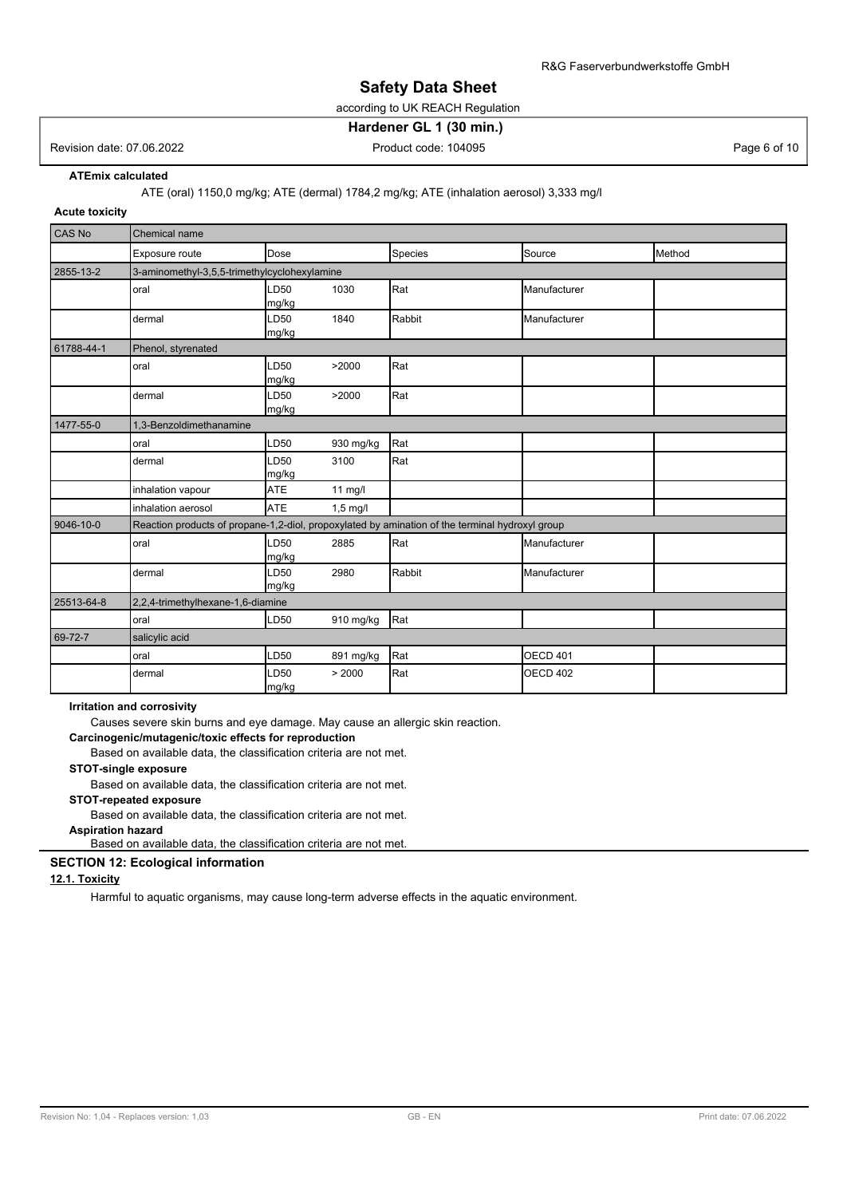according to UK REACH Regulation

## **Hardener GL 1 (30 min.)**

## Revision date: 07.06.2022 **Product code: 104095** Product code: 104095 Page 6 of 10

**ATEmix calculated**

ATE (oral) 1150,0 mg/kg; ATE (dermal) 1784,2 mg/kg; ATE (inhalation aerosol) 3,333 mg/l

## **Acute toxicity**

| CAS No     | Chemical name                                |                           |            |                                                                                                 |                 |        |
|------------|----------------------------------------------|---------------------------|------------|-------------------------------------------------------------------------------------------------|-----------------|--------|
|            | Exposure route                               | Dose                      |            | Species                                                                                         | Source          | Method |
| 2855-13-2  | 3-aminomethyl-3,5,5-trimethylcyclohexylamine |                           |            |                                                                                                 |                 |        |
|            | oral                                         | LD <sub>50</sub><br>mg/kg | 1030       | Rat                                                                                             | Manufacturer    |        |
|            | dermal                                       | LD <sub>50</sub><br>mg/kg | 1840       | Rabbit                                                                                          | Manufacturer    |        |
| 61788-44-1 | Phenol, styrenated                           |                           |            |                                                                                                 |                 |        |
|            | oral                                         | LD50<br>mg/kg             | >2000      | Rat                                                                                             |                 |        |
|            | dermal                                       | <b>LD50</b><br>mg/kg      | >2000      | Rat                                                                                             |                 |        |
| 1477-55-0  | 1,3-Benzoldimethanamine                      |                           |            |                                                                                                 |                 |        |
|            | oral                                         | LD50                      | 930 mg/kg  | Rat                                                                                             |                 |        |
|            | dermal                                       | LD50<br>mg/kg             | 3100       | Rat                                                                                             |                 |        |
|            | inhalation vapour                            | <b>ATE</b>                | 11 mg/l    |                                                                                                 |                 |        |
|            | inhalation aerosol                           | <b>ATE</b>                | $1,5$ mg/l |                                                                                                 |                 |        |
| 9046-10-0  |                                              |                           |            | Reaction products of propane-1,2-diol, propoxylated by amination of the terminal hydroxyl group |                 |        |
|            | oral                                         | <b>LD50</b><br>mg/kg      | 2885       | Rat                                                                                             | Manufacturer    |        |
|            | dermal                                       | LD50<br>mg/kg             | 2980       | Rabbit                                                                                          | Manufacturer    |        |
| 25513-64-8 | 2,2,4-trimethylhexane-1,6-diamine            |                           |            |                                                                                                 |                 |        |
|            | oral                                         | LD50                      | 910 mg/kg  | Rat                                                                                             |                 |        |
| 69-72-7    | salicylic acid                               |                           |            |                                                                                                 |                 |        |
|            | oral                                         | LD50                      | 891 mg/kg  | Rat                                                                                             | OECD 401        |        |
|            | dermal                                       | LD50<br>mg/kg             | > 2000     | Rat                                                                                             | <b>OECD 402</b> |        |

#### **Irritation and corrosivity**

Causes severe skin burns and eye damage. May cause an allergic skin reaction.

**Carcinogenic/mutagenic/toxic effects for reproduction**

Based on available data, the classification criteria are not met.

## **STOT-single exposure**

Based on available data, the classification criteria are not met.

### **STOT-repeated exposure**

Based on available data, the classification criteria are not met.

**Aspiration hazard** Based on available data, the classification criteria are not met.

## **SECTION 12: Ecological information**

## **12.1. Toxicity**

Harmful to aquatic organisms, may cause long-term adverse effects in the aquatic environment.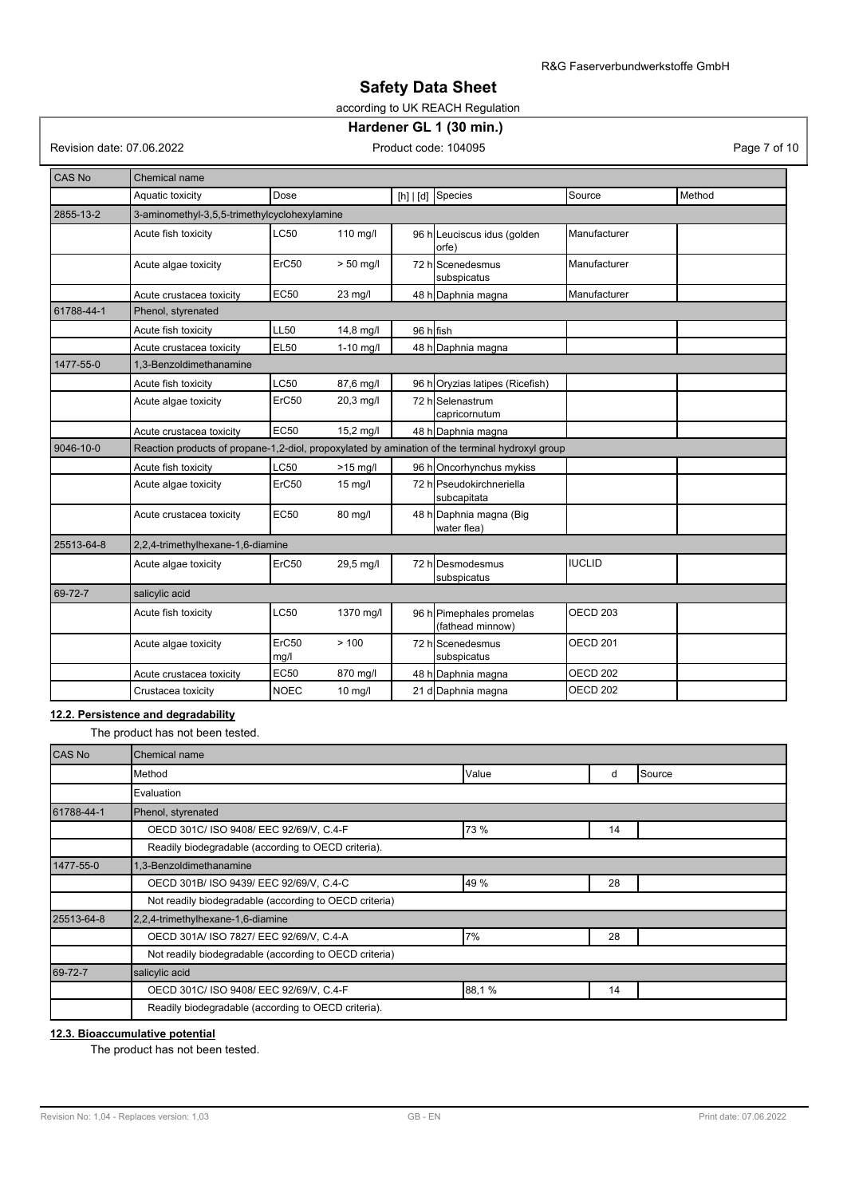## according to UK REACH Regulation

## **Hardener GL 1 (30 min.)**

Revision date: 07.06.2022 Product code: 104095 Product code: 104095

| <b>CAS No</b> | Chemical name                                                                                   |               |             |           |                                              |                     |        |
|---------------|-------------------------------------------------------------------------------------------------|---------------|-------------|-----------|----------------------------------------------|---------------------|--------|
|               | Aquatic toxicity                                                                                | Dose          |             |           | [h] $ d]$ Species                            | Source              | Method |
| 2855-13-2     | 3-aminomethyl-3,5,5-trimethylcyclohexylamine                                                    |               |             |           |                                              |                     |        |
|               | Acute fish toxicity                                                                             | LC50          | 110 mg/l    |           | 96 h Leuciscus idus (golden<br>orfe)         | Manufacturer        |        |
|               | Acute algae toxicity                                                                            | ErC50         | $> 50$ mg/l |           | 72 h Scenedesmus<br>subspicatus              | Manufacturer        |        |
|               | Acute crustacea toxicity                                                                        | <b>EC50</b>   | 23 mg/l     |           | 48 h Daphnia magna                           | Manufacturer        |        |
| 61788-44-1    | Phenol, styrenated                                                                              |               |             |           |                                              |                     |        |
|               | Acute fish toxicity                                                                             | <b>LL50</b>   | 14,8 mg/l   | 96 h fish |                                              |                     |        |
|               | Acute crustacea toxicity                                                                        | <b>EL50</b>   | $1-10$ mg/l |           | 48 h Daphnia magna                           |                     |        |
| 1477-55-0     | 1.3-Benzoldimethanamine                                                                         |               |             |           |                                              |                     |        |
|               | Acute fish toxicity                                                                             | LC50          | 87,6 mg/l   |           | 96 horyzias latipes (Ricefish)               |                     |        |
|               | Acute algae toxicity                                                                            | ErC50         | 20,3 mg/l   |           | 72 hlSelenastrum<br>capricornutum            |                     |        |
|               | Acute crustacea toxicity                                                                        | <b>EC50</b>   | 15,2 mg/l   |           | 48 h Daphnia magna                           |                     |        |
| 9046-10-0     | Reaction products of propane-1,2-diol, propoxylated by amination of the terminal hydroxyl group |               |             |           |                                              |                     |        |
|               | Acute fish toxicity                                                                             | LC50          | $>15$ mg/l  |           | 96 h Oncorhynchus mykiss                     |                     |        |
|               | Acute algae toxicity                                                                            | ErC50         | $15$ mg/l   |           | 72 hlPseudokirchneriella<br>subcapitata      |                     |        |
|               | Acute crustacea toxicity                                                                        | <b>EC50</b>   | 80 mg/l     |           | 48 h Daphnia magna (Big<br>lwater flea)      |                     |        |
| 25513-64-8    | 2,2,4-trimethylhexane-1,6-diamine                                                               |               |             |           |                                              |                     |        |
|               | Acute algae toxicity                                                                            | ErC50         | 29,5 mg/l   |           | 72 hlDesmodesmus<br>subspicatus              | <b>IUCLID</b>       |        |
| 69-72-7       | salicylic acid                                                                                  |               |             |           |                                              |                     |        |
|               | Acute fish toxicity                                                                             | LC50          | 1370 mg/l   |           | 96 h Pimephales promelas<br>(fathead minnow) | OECD <sub>203</sub> |        |
|               | Acute algae toxicity                                                                            | ErC50<br>mg/l | > 100       |           | 72 hlScenedesmus<br>subspicatus              | <b>OECD 201</b>     |        |
|               | Acute crustacea toxicity                                                                        | <b>EC50</b>   | 870 mg/l    |           | 48 h Daphnia magna                           | OECD <sub>202</sub> |        |
|               | Crustacea toxicity                                                                              | <b>NOEC</b>   | $10$ mg/l   |           | 21 d Daphnia magna                           | OECD <sub>202</sub> |        |

## **12.2. Persistence and degradability**

The product has not been tested.

| CAS No     | Chemical name                                          |       |    |        |
|------------|--------------------------------------------------------|-------|----|--------|
|            | Method                                                 | Value | d  | Source |
|            | Evaluation                                             |       |    |        |
| 61788-44-1 | Phenol, styrenated                                     |       |    |        |
|            | OECD 301C/ ISO 9408/ EEC 92/69/V, C.4-F                | 73 %  | 14 |        |
|            | Readily biodegradable (according to OECD criteria).    |       |    |        |
| 1477-55-0  | 1,3-Benzoldimethanamine                                |       |    |        |
|            | OECD 301B/ ISO 9439/ EEC 92/69/V, C.4-C                | 49 %  | 28 |        |
|            | Not readily biodegradable (according to OECD criteria) |       |    |        |
| 25513-64-8 | 2,2,4-trimethylhexane-1,6-diamine                      |       |    |        |
|            | OECD 301A/ ISO 7827/ EEC 92/69/V, C.4-A                | 7%    | 28 |        |
|            | Not readily biodegradable (according to OECD criteria) |       |    |        |
| 69-72-7    | salicylic acid                                         |       |    |        |
|            | OECD 301C/ ISO 9408/ EEC 92/69/V, C.4-F                | 88,1% | 14 |        |
|            | Readily biodegradable (according to OECD criteria).    |       |    |        |

### **12.3. Bioaccumulative potential**

The product has not been tested.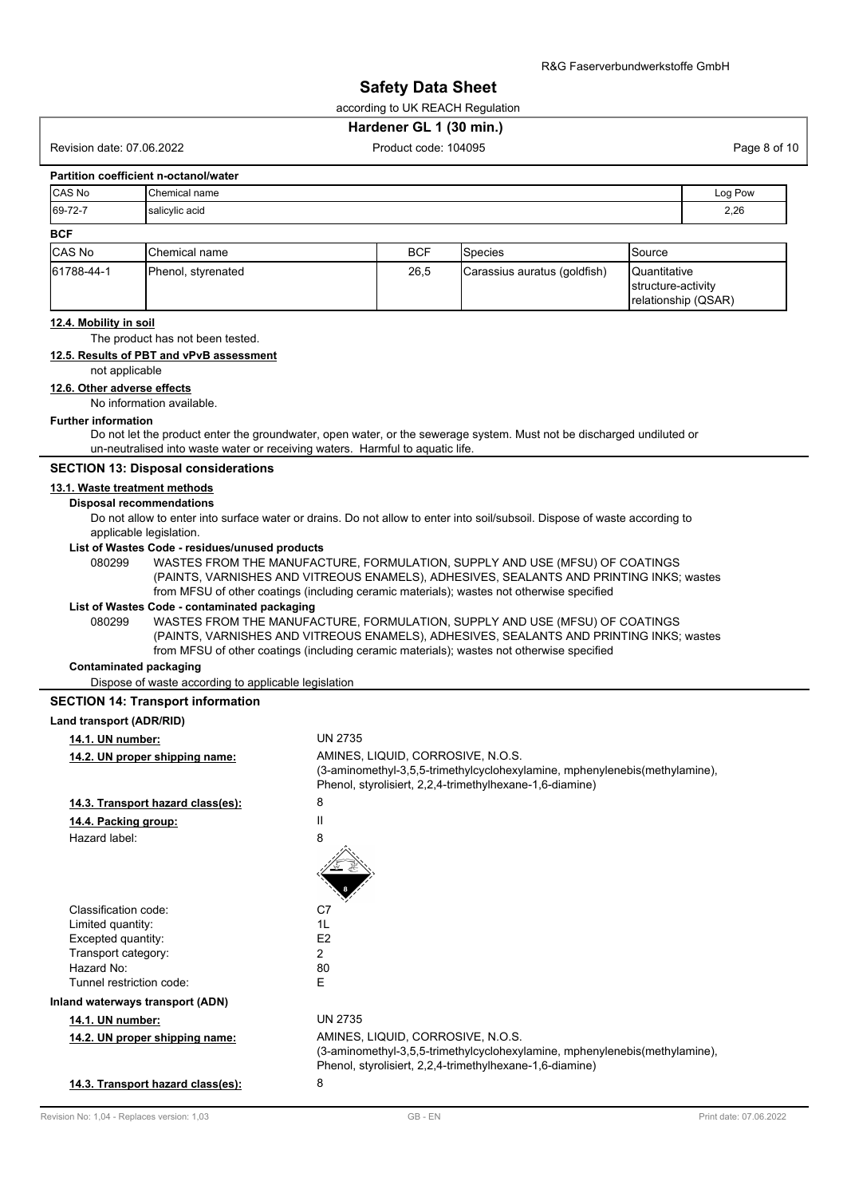according to UK REACH Regulation

### **Hardener GL 1 (30 min.)**

Revision date: 07.06.2022 **Product code: 104095** Product code: 104095 Page 8 of 10

### **Partition coefficient n-octanol/water**

| <b>CAS No</b> | <b>Chemical name</b> | Log Pow |
|---------------|----------------------|---------|
| 69-72-7       | salicylic acid       | 2,26    |
| <b>BCF</b>    |                      |         |

| <b>ICAS No</b> | <b>'</b> Chemical name | BCF  | ISpecies                      | Source                                    |
|----------------|------------------------|------|-------------------------------|-------------------------------------------|
| 61788-44-1     | Phenol, styrenated     | 26,5 | (Carassius auratus (goldfish) | <b>Quantitative</b><br>structure-activity |
|                |                        |      |                               | relationship (QSAR)                       |

## **12.4. Mobility in soil**

The product has not been tested.

## **12.5. Results of PBT and vPvB assessment**

not applicable

#### **12.6. Other adverse effects**

No information available.

#### **Further information**

Do not let the product enter the groundwater, open water, or the sewerage system. Must not be discharged undiluted or un-neutralised into waste water or receiving waters. Harmful to aquatic life.

### **SECTION 13: Disposal considerations**

#### **13.1. Waste treatment methods**

#### **Disposal recommendations**

Do not allow to enter into surface water or drains. Do not allow to enter into soil/subsoil. Dispose of waste according to applicable legislation.

#### **List of Wastes Code - residues/unused products**

080299 WASTES FROM THE MANUFACTURE, FORMULATION, SUPPLY AND USE (MFSU) OF COATINGS (PAINTS, VARNISHES AND VITREOUS ENAMELS), ADHESIVES, SEALANTS AND PRINTING INKS; wastes from MFSU of other coatings (including ceramic materials); wastes not otherwise specified

### **List of Wastes Code - contaminated packaging**

WASTES FROM THE MANUFACTURE, FORMULATION, SUPPLY AND USE (MFSU) OF COATINGS (PAINTS, VARNISHES AND VITREOUS ENAMELS), ADHESIVES, SEALANTS AND PRINTING INKS; wastes from MFSU of other coatings (including ceramic materials); wastes not otherwise specified 080299

### **Contaminated packaging**

Dispose of waste according to applicable legislation

### **SECTION 14: Transport information**

| Land transport (ADR/RID)          |                                                                                                                                        |
|-----------------------------------|----------------------------------------------------------------------------------------------------------------------------------------|
| 14.1. UN number:                  | <b>UN 2735</b>                                                                                                                         |
| 14.2. UN proper shipping name:    | AMINES, LIQUID, CORROSIVE, N.O.S.                                                                                                      |
|                                   | (3-aminomethyl-3,5,5-trimethylcyclohexylamine, mphenylenebis(methylamine),<br>Phenol, styrolisiert, 2,2,4-trimethylhexane-1,6-diamine) |
| 14.3. Transport hazard class(es): | 8                                                                                                                                      |
| 14.4. Packing group:              | Ш                                                                                                                                      |
| Hazard label:                     | 8                                                                                                                                      |
|                                   |                                                                                                                                        |
| Classification code:              | C7                                                                                                                                     |
| Limited quantity:                 | 1L                                                                                                                                     |
| Excepted quantity:                | E <sub>2</sub>                                                                                                                         |
| Transport category:               | 2                                                                                                                                      |
| Hazard No:                        | 80                                                                                                                                     |
| Tunnel restriction code:          | Е                                                                                                                                      |
| Inland waterways transport (ADN)  |                                                                                                                                        |
| 14.1. UN number:                  | <b>UN 2735</b>                                                                                                                         |
| 14.2. UN proper shipping name:    | AMINES, LIQUID, CORROSIVE, N.O.S.                                                                                                      |
|                                   | (3-aminomethyl-3,5,5-trimethylcyclohexylamine, mphenylenebis(methylamine),<br>Phenol, styrolisiert, 2,2,4-trimethylhexane-1,6-diamine) |
| 14.3. Transport hazard class(es): | 8                                                                                                                                      |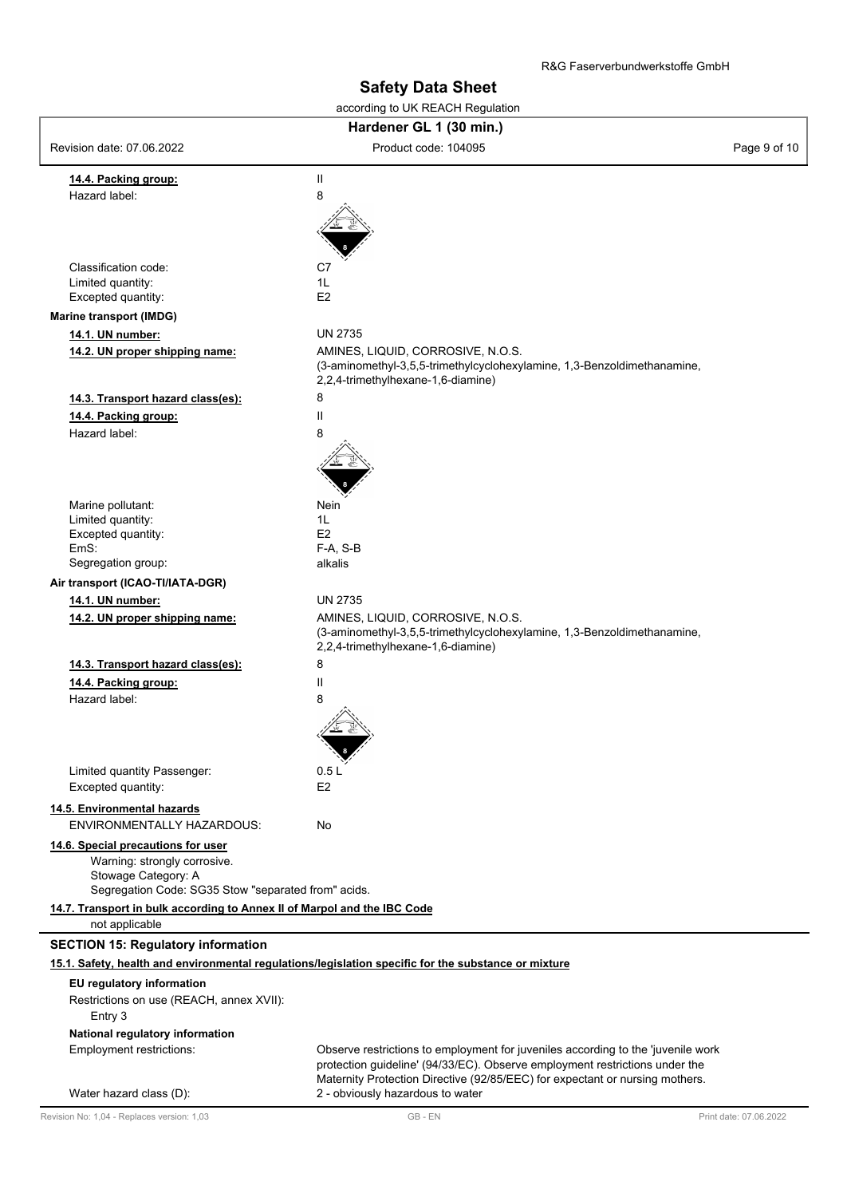| according to UK REACH Regulation                                                           |                                                                                                                  |              |  |  |  |
|--------------------------------------------------------------------------------------------|------------------------------------------------------------------------------------------------------------------|--------------|--|--|--|
| Hardener GL 1 (30 min.)                                                                    |                                                                                                                  |              |  |  |  |
| Revision date: 07.06.2022                                                                  | Product code: 104095                                                                                             | Page 9 of 10 |  |  |  |
| 14.4. Packing group:                                                                       | Ш                                                                                                                |              |  |  |  |
| Hazard label:                                                                              | 8                                                                                                                |              |  |  |  |
|                                                                                            |                                                                                                                  |              |  |  |  |
|                                                                                            |                                                                                                                  |              |  |  |  |
|                                                                                            |                                                                                                                  |              |  |  |  |
| Classification code:                                                                       | C7                                                                                                               |              |  |  |  |
| Limited quantity:                                                                          | 1L                                                                                                               |              |  |  |  |
| Excepted quantity:                                                                         | E <sub>2</sub>                                                                                                   |              |  |  |  |
| <b>Marine transport (IMDG)</b>                                                             |                                                                                                                  |              |  |  |  |
| 14.1. UN number:                                                                           | <b>UN 2735</b>                                                                                                   |              |  |  |  |
| 14.2. UN proper shipping name:                                                             | AMINES, LIQUID, CORROSIVE, N.O.S.                                                                                |              |  |  |  |
|                                                                                            | (3-aminomethyl-3,5,5-trimethylcyclohexylamine, 1,3-Benzoldimethanamine,<br>2,2,4-trimethylhexane-1,6-diamine)    |              |  |  |  |
| 14.3. Transport hazard class(es):                                                          | 8                                                                                                                |              |  |  |  |
| 14.4. Packing group:                                                                       | Ш                                                                                                                |              |  |  |  |
| Hazard label:                                                                              | 8                                                                                                                |              |  |  |  |
|                                                                                            |                                                                                                                  |              |  |  |  |
|                                                                                            |                                                                                                                  |              |  |  |  |
|                                                                                            |                                                                                                                  |              |  |  |  |
| Marine pollutant:                                                                          | Nein                                                                                                             |              |  |  |  |
| Limited quantity:                                                                          | 1L                                                                                                               |              |  |  |  |
| Excepted quantity:                                                                         | E2                                                                                                               |              |  |  |  |
| EmS:                                                                                       | F-A, S-B<br>alkalis                                                                                              |              |  |  |  |
| Segregation group:                                                                         |                                                                                                                  |              |  |  |  |
| Air transport (ICAO-TI/IATA-DGR)                                                           | <b>UN 2735</b>                                                                                                   |              |  |  |  |
| 14.1. UN number:                                                                           | AMINES, LIQUID, CORROSIVE, N.O.S.                                                                                |              |  |  |  |
| 14.2. UN proper shipping name:                                                             | (3-aminomethyl-3,5,5-trimethylcyclohexylamine, 1,3-Benzoldimethanamine,<br>2,2,4-trimethylhexane-1,6-diamine)    |              |  |  |  |
| 14.3. Transport hazard class(es):                                                          | 8                                                                                                                |              |  |  |  |
| 14.4. Packing group:                                                                       | $\mathsf{II}$                                                                                                    |              |  |  |  |
| Hazard label:                                                                              | 8                                                                                                                |              |  |  |  |
|                                                                                            |                                                                                                                  |              |  |  |  |
|                                                                                            |                                                                                                                  |              |  |  |  |
|                                                                                            | 8                                                                                                                |              |  |  |  |
| Limited quantity Passenger:                                                                | 0.5 L                                                                                                            |              |  |  |  |
| Excepted quantity:                                                                         | E <sub>2</sub>                                                                                                   |              |  |  |  |
| 14.5. Environmental hazards                                                                |                                                                                                                  |              |  |  |  |
| <b>ENVIRONMENTALLY HAZARDOUS:</b>                                                          | No                                                                                                               |              |  |  |  |
| 14.6. Special precautions for user                                                         |                                                                                                                  |              |  |  |  |
| Warning: strongly corrosive.                                                               |                                                                                                                  |              |  |  |  |
| Stowage Category: A                                                                        |                                                                                                                  |              |  |  |  |
| Segregation Code: SG35 Stow "separated from" acids.                                        |                                                                                                                  |              |  |  |  |
| 14.7. Transport in bulk according to Annex II of Marpol and the IBC Code<br>not applicable |                                                                                                                  |              |  |  |  |
| <b>SECTION 15: Regulatory information</b>                                                  |                                                                                                                  |              |  |  |  |
|                                                                                            | 15.1. Safety, health and environmental regulations/legislation specific for the substance or mixture             |              |  |  |  |
| EU regulatory information                                                                  |                                                                                                                  |              |  |  |  |
| Restrictions on use (REACH, annex XVII):<br>Entry 3                                        |                                                                                                                  |              |  |  |  |
| National regulatory information                                                            |                                                                                                                  |              |  |  |  |
| Employment restrictions:                                                                   | Observe restrictions to employment for juveniles according to the 'juvenile work                                 |              |  |  |  |
|                                                                                            | protection guideline' (94/33/EC). Observe employment restrictions under the                                      |              |  |  |  |
| Water hazard class (D):                                                                    | Maternity Protection Directive (92/85/EEC) for expectant or nursing mothers.<br>2 - obviously hazardous to water |              |  |  |  |
|                                                                                            |                                                                                                                  |              |  |  |  |